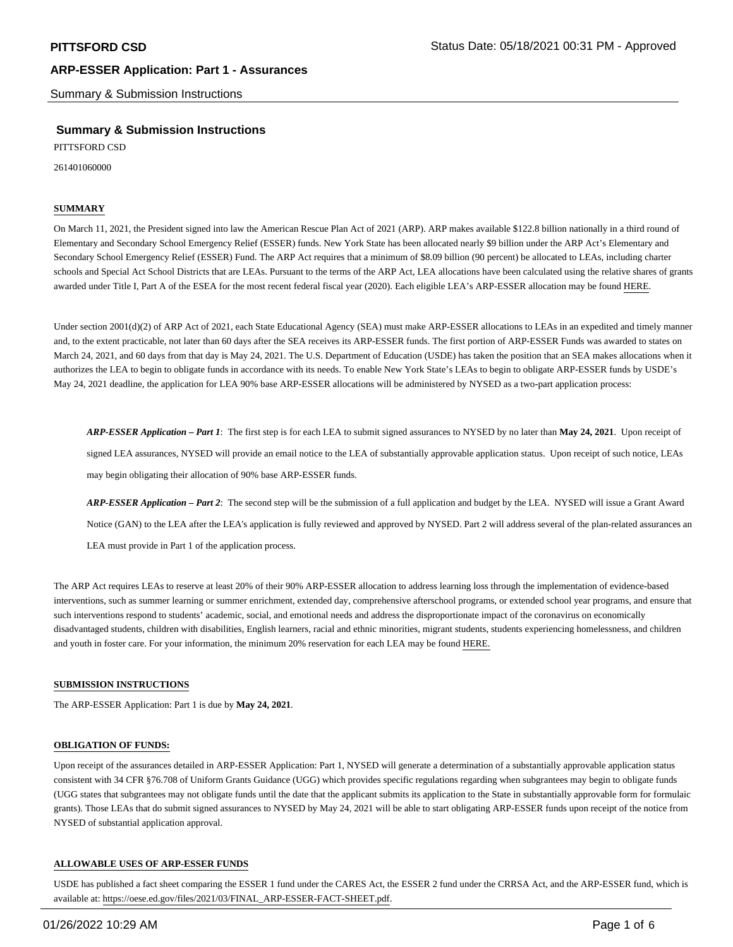Summary & Submission Instructions

## **Summary & Submission Instructions**

PITTSFORD CSD

261401060000

### **SUMMARY**

On March 11, 2021, the President signed into law the American Rescue Plan Act of 2021 (ARP). ARP makes available \$122.8 billion nationally in a third round of Elementary and Secondary School Emergency Relief (ESSER) funds. New York State has been allocated nearly \$9 billion under the ARP Act's Elementary and Secondary School Emergency Relief (ESSER) Fund. The ARP Act requires that a minimum of \$8.09 billion (90 percent) be allocated to LEAs, including charter schools and Special Act School Districts that are LEAs. Pursuant to the terms of the ARP Act, LEA allocations have been calculated using the relative shares of grants awarded under Title I, Part A of the ESEA for the most recent federal fiscal year (2020). Each eligible LEA's ARP-ESSER allocation may be found HERE.

Under section 2001(d)(2) of ARP Act of 2021, each State Educational Agency (SEA) must make ARP-ESSER allocations to LEAs in an expedited and timely manner and, to the extent practicable, not later than 60 days after the SEA receives its ARP-ESSER funds. The first portion of ARP-ESSER Funds was awarded to states on March 24, 2021, and 60 days from that day is May 24, 2021. The U.S. Department of Education (USDE) has taken the position that an SEA makes allocations when it authorizes the LEA to begin to obligate funds in accordance with its needs. To enable New York State's LEAs to begin to obligate ARP-ESSER funds by USDE's May 24, 2021 deadline, the application for LEA 90% base ARP-ESSER allocations will be administered by NYSED as a two-part application process:

*ARP-ESSER Application – Part 1*: The first step is for each LEA to submit signed assurances to NYSED by no later than **May 24, 2021**. Upon receipt of signed LEA assurances, NYSED will provide an email notice to the LEA of substantially approvable application status. Upon receipt of such notice, LEAs may begin obligating their allocation of 90% base ARP-ESSER funds.

*ARP-ESSER Application – Part 2*: The second step will be the submission of a full application and budget by the LEA. NYSED will issue a Grant Award Notice (GAN) to the LEA after the LEA's application is fully reviewed and approved by NYSED. Part 2 will address several of the plan-related assurances an LEA must provide in Part 1 of the application process.

The ARP Act requires LEAs to reserve at least 20% of their 90% ARP-ESSER allocation to address learning loss through the implementation of evidence-based interventions, such as summer learning or summer enrichment, extended day, comprehensive afterschool programs, or extended school year programs, and ensure that such interventions respond to students' academic, social, and emotional needs and address the disproportionate impact of the coronavirus on economically disadvantaged students, children with disabilities, English learners, racial and ethnic minorities, migrant students, students experiencing homelessness, and children and youth in foster care. For your information, the minimum 20% reservation for each LEA may be found HERE.

#### **SUBMISSION INSTRUCTIONS**

The ARP-ESSER Application: Part 1 is due by **May 24, 2021**.

#### **OBLIGATION OF FUNDS:**

Upon receipt of the assurances detailed in ARP-ESSER Application: Part 1, NYSED will generate a determination of a substantially approvable application status consistent with 34 CFR §76.708 of Uniform Grants Guidance (UGG) which provides specific regulations regarding when subgrantees may begin to obligate funds (UGG states that subgrantees may not obligate funds until the date that the applicant submits its application to the State in substantially approvable form for formulaic grants). Those LEAs that do submit signed assurances to NYSED by May 24, 2021 will be able to start obligating ARP-ESSER funds upon receipt of the notice from NYSED of substantial application approval.

#### **ALLOWABLE USES OF ARP-ESSER FUNDS**

USDE has published a fact sheet comparing the ESSER 1 fund under the CARES Act, the ESSER 2 fund under the CRRSA Act, and the ARP-ESSER fund, which is available at: https://oese.ed.gov/files/2021/03/FINAL\_ARP-ESSER-FACT-SHEET.pdf.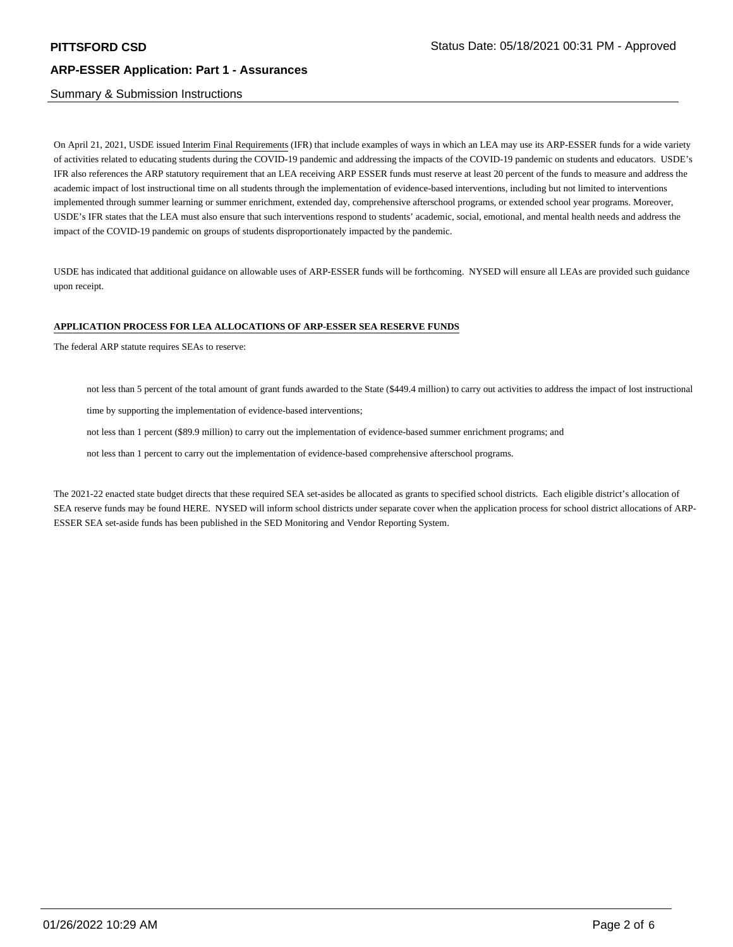## Summary & Submission Instructions

On April 21, 2021, USDE issued Interim Final Requirements (IFR) that include examples of ways in which an LEA may use its ARP-ESSER funds for a wide variety of activities related to educating students during the COVID-19 pandemic and addressing the impacts of the COVID-19 pandemic on students and educators. USDE's IFR also references the ARP statutory requirement that an LEA receiving ARP ESSER funds must reserve at least 20 percent of the funds to measure and address the academic impact of lost instructional time on all students through the implementation of evidence-based interventions, including but not limited to interventions implemented through summer learning or summer enrichment, extended day, comprehensive afterschool programs, or extended school year programs. Moreover, USDE's IFR states that the LEA must also ensure that such interventions respond to students' academic, social, emotional, and mental health needs and address the impact of the COVID-19 pandemic on groups of students disproportionately impacted by the pandemic.

USDE has indicated that additional guidance on allowable uses of ARP-ESSER funds will be forthcoming. NYSED will ensure all LEAs are provided such guidance upon receipt.

#### **APPLICATION PROCESS FOR LEA ALLOCATIONS OF ARP-ESSER SEA RESERVE FUNDS**

The federal ARP statute requires SEAs to reserve:

not less than 5 percent of the total amount of grant funds awarded to the State (\$449.4 million) to carry out activities to address the impact of lost instructional

time by supporting the implementation of evidence-based interventions;

not less than 1 percent (\$89.9 million) to carry out the implementation of evidence-based summer enrichment programs; and

not less than 1 percent to carry out the implementation of evidence-based comprehensive afterschool programs.

The 2021-22 enacted state budget directs that these required SEA set-asides be allocated as grants to specified school districts. Each eligible district's allocation of SEA reserve funds may be found HERE. NYSED will inform school districts under separate cover when the application process for school district allocations of ARP-ESSER SEA set-aside funds has been published in the SED Monitoring and Vendor Reporting System.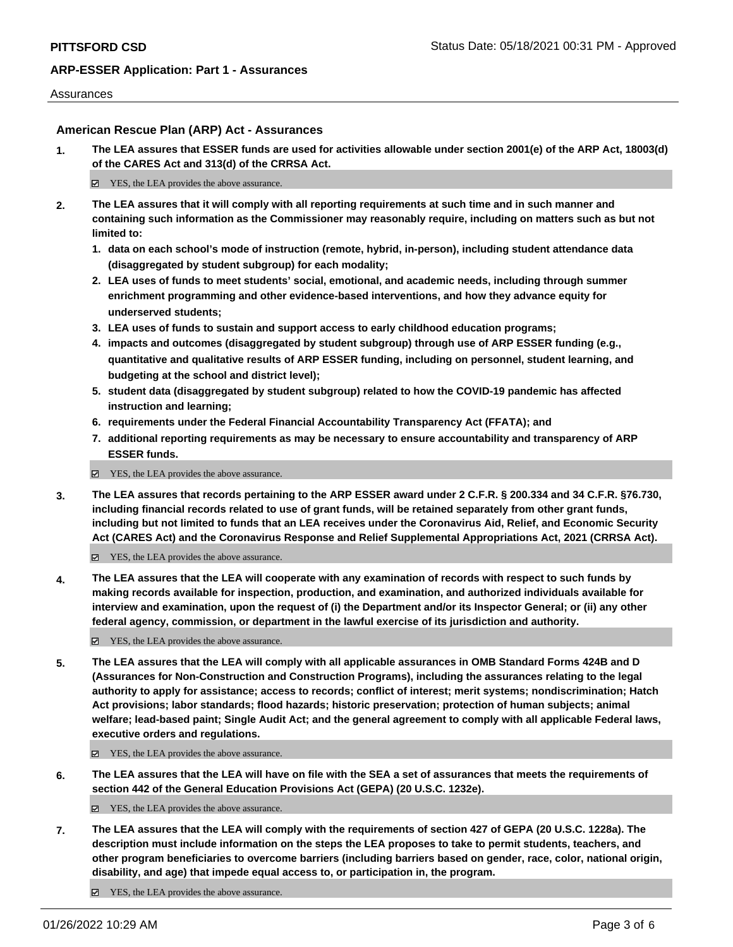## Assurances

## **American Rescue Plan (ARP) Act - Assurances**

**1. The LEA assures that ESSER funds are used for activities allowable under section 2001(e) of the ARP Act, 18003(d) of the CARES Act and 313(d) of the CRRSA Act.**

■ YES, the LEA provides the above assurance.

- **2. The LEA assures that it will comply with all reporting requirements at such time and in such manner and containing such information as the Commissioner may reasonably require, including on matters such as but not limited to:**
	- **1. data on each school's mode of instruction (remote, hybrid, in-person), including student attendance data (disaggregated by student subgroup) for each modality;**
	- **2. LEA uses of funds to meet students' social, emotional, and academic needs, including through summer enrichment programming and other evidence-based interventions, and how they advance equity for underserved students;**
	- **3. LEA uses of funds to sustain and support access to early childhood education programs;**
	- **4. impacts and outcomes (disaggregated by student subgroup) through use of ARP ESSER funding (e.g., quantitative and qualitative results of ARP ESSER funding, including on personnel, student learning, and budgeting at the school and district level);**
	- **5. student data (disaggregated by student subgroup) related to how the COVID-19 pandemic has affected instruction and learning;**
	- **6. requirements under the Federal Financial Accountability Transparency Act (FFATA); and**
	- **7. additional reporting requirements as may be necessary to ensure accountability and transparency of ARP ESSER funds.**

■ YES, the LEA provides the above assurance.

**3. The LEA assures that records pertaining to the ARP ESSER award under 2 C.F.R. § 200.334 and 34 C.F.R. §76.730, including financial records related to use of grant funds, will be retained separately from other grant funds, including but not limited to funds that an LEA receives under the Coronavirus Aid, Relief, and Economic Security Act (CARES Act) and the Coronavirus Response and Relief Supplemental Appropriations Act, 2021 (CRRSA Act).**

YES, the LEA provides the above assurance.

**4. The LEA assures that the LEA will cooperate with any examination of records with respect to such funds by making records available for inspection, production, and examination, and authorized individuals available for interview and examination, upon the request of (i) the Department and/or its Inspector General; or (ii) any other federal agency, commission, or department in the lawful exercise of its jurisdiction and authority.**

■ YES, the LEA provides the above assurance.

**5. The LEA assures that the LEA will comply with all applicable assurances in OMB Standard Forms 424B and D (Assurances for Non-Construction and Construction Programs), including the assurances relating to the legal authority to apply for assistance; access to records; conflict of interest; merit systems; nondiscrimination; Hatch Act provisions; labor standards; flood hazards; historic preservation; protection of human subjects; animal welfare; lead-based paint; Single Audit Act; and the general agreement to comply with all applicable Federal laws, executive orders and regulations.**

YES, the LEA provides the above assurance.

**6. The LEA assures that the LEA will have on file with the SEA a set of assurances that meets the requirements of section 442 of the General Education Provisions Act (GEPA) (20 U.S.C. 1232e).**

■ YES, the LEA provides the above assurance.

- **7. The LEA assures that the LEA will comply with the requirements of section 427 of GEPA (20 U.S.C. 1228a). The description must include information on the steps the LEA proposes to take to permit students, teachers, and other program beneficiaries to overcome barriers (including barriers based on gender, race, color, national origin, disability, and age) that impede equal access to, or participation in, the program.**
	- YES, the LEA provides the above assurance.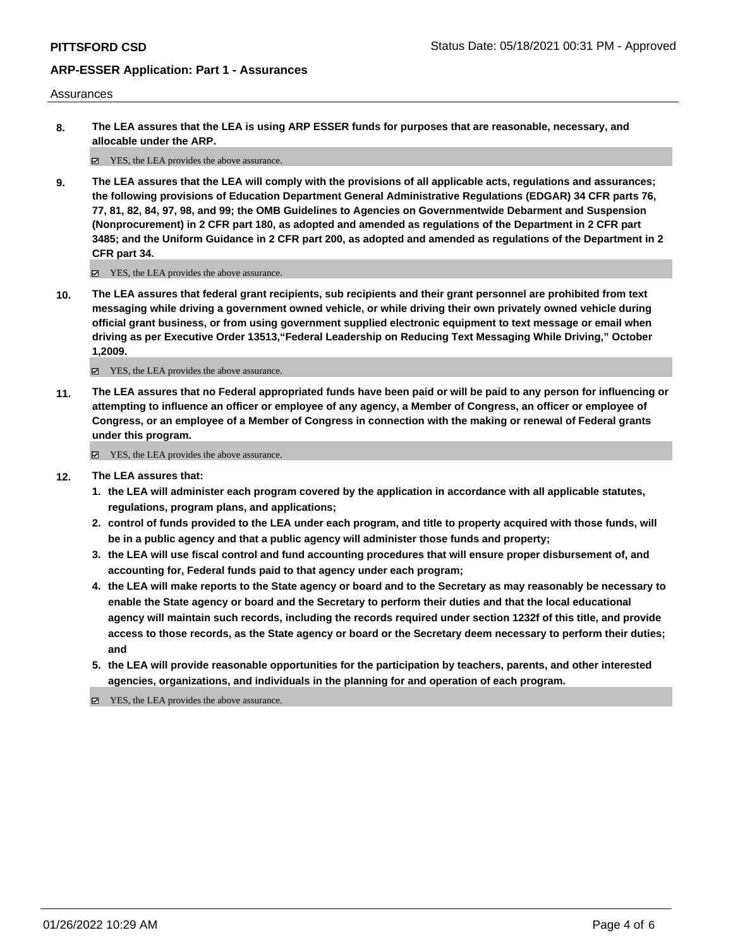### Assurances

**8. The LEA assures that the LEA is using ARP ESSER funds for purposes that are reasonable, necessary, and allocable under the ARP.**

YES, the LEA provides the above assurance.

**9. The LEA assures that the LEA will comply with the provisions of all applicable acts, regulations and assurances; the following provisions of Education Department General Administrative Regulations (EDGAR) 34 CFR parts 76, 77, 81, 82, 84, 97, 98, and 99; the OMB Guidelines to Agencies on Governmentwide Debarment and Suspension (Nonprocurement) in 2 CFR part 180, as adopted and amended as regulations of the Department in 2 CFR part 3485; and the Uniform Guidance in 2 CFR part 200, as adopted and amended as regulations of the Department in 2 CFR part 34.**

YES, the LEA provides the above assurance.

**10. The LEA assures that federal grant recipients, sub recipients and their grant personnel are prohibited from text messaging while driving a government owned vehicle, or while driving their own privately owned vehicle during official grant business, or from using government supplied electronic equipment to text message or email when driving as per Executive Order 13513,"Federal Leadership on Reducing Text Messaging While Driving," October 1,2009.**

YES, the LEA provides the above assurance.

**11. The LEA assures that no Federal appropriated funds have been paid or will be paid to any person for influencing or attempting to influence an officer or employee of any agency, a Member of Congress, an officer or employee of Congress, or an employee of a Member of Congress in connection with the making or renewal of Federal grants under this program.**

■ YES, the LEA provides the above assurance.

- **12. The LEA assures that:**
	- **1. the LEA will administer each program covered by the application in accordance with all applicable statutes, regulations, program plans, and applications;**
	- **2. control of funds provided to the LEA under each program, and title to property acquired with those funds, will be in a public agency and that a public agency will administer those funds and property;**
	- **3. the LEA will use fiscal control and fund accounting procedures that will ensure proper disbursement of, and accounting for, Federal funds paid to that agency under each program;**
	- **4. the LEA will make reports to the State agency or board and to the Secretary as may reasonably be necessary to enable the State agency or board and the Secretary to perform their duties and that the local educational agency will maintain such records, including the records required under section 1232f of this title, and provide access to those records, as the State agency or board or the Secretary deem necessary to perform their duties; and**
	- **5. the LEA will provide reasonable opportunities for the participation by teachers, parents, and other interested agencies, organizations, and individuals in the planning for and operation of each program.**

YES, the LEA provides the above assurance.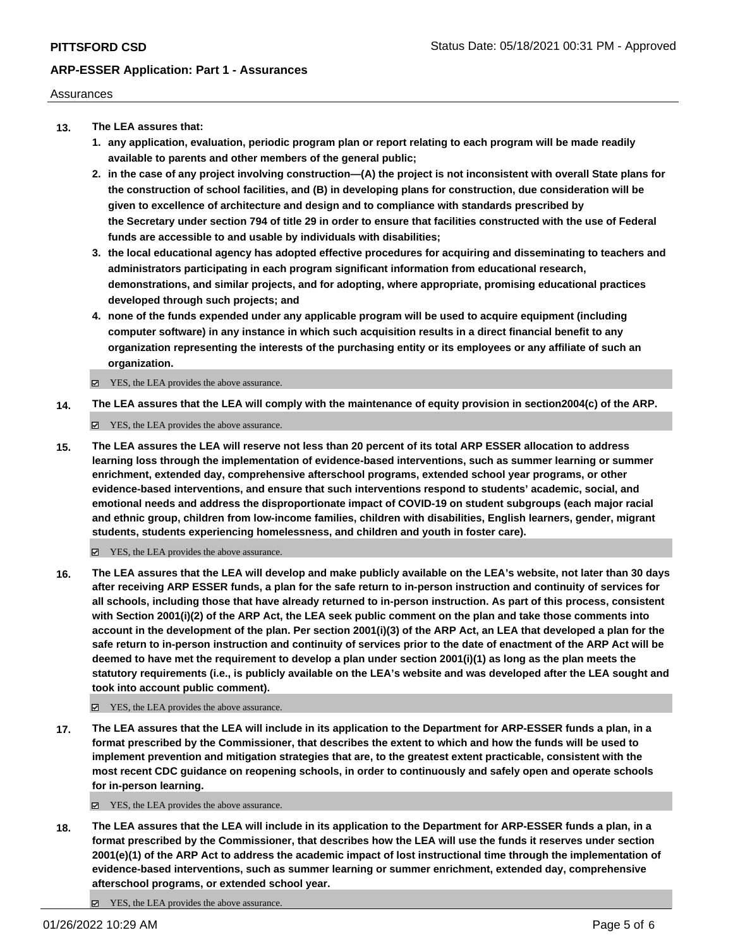## Assurances

- **13. The LEA assures that:**
	- **1. any application, evaluation, periodic program plan or report relating to each program will be made readily available to parents and other members of the general public;**
	- **2. in the case of any project involving construction—(A) the project is not inconsistent with overall State plans for the construction of school facilities, and (B) in developing plans for construction, due consideration will be given to excellence of architecture and design and to compliance with standards prescribed by the Secretary under section 794 of title 29 in order to ensure that facilities constructed with the use of Federal funds are accessible to and usable by individuals with disabilities;**
	- **3. the local educational agency has adopted effective procedures for acquiring and disseminating to teachers and administrators participating in each program significant information from educational research, demonstrations, and similar projects, and for adopting, where appropriate, promising educational practices developed through such projects; and**
	- **4. none of the funds expended under any applicable program will be used to acquire equipment (including computer software) in any instance in which such acquisition results in a direct financial benefit to any organization representing the interests of the purchasing entity or its employees or any affiliate of such an organization.**

 $\Xi$  YES, the LEA provides the above assurance.

**14. The LEA assures that the LEA will comply with the maintenance of equity provision in section2004(c) of the ARP.**

YES, the LEA provides the above assurance.

**15. The LEA assures the LEA will reserve not less than 20 percent of its total ARP ESSER allocation to address learning loss through the implementation of evidence-based interventions, such as summer learning or summer enrichment, extended day, comprehensive afterschool programs, extended school year programs, or other evidence-based interventions, and ensure that such interventions respond to students' academic, social, and emotional needs and address the disproportionate impact of COVID-19 on student subgroups (each major racial and ethnic group, children from low-income families, children with disabilities, English learners, gender, migrant students, students experiencing homelessness, and children and youth in foster care).**

YES, the LEA provides the above assurance.

**16. The LEA assures that the LEA will develop and make publicly available on the LEA's website, not later than 30 days after receiving ARP ESSER funds, a plan for the safe return to in-person instruction and continuity of services for all schools, including those that have already returned to in-person instruction. As part of this process, consistent with Section 2001(i)(2) of the ARP Act, the LEA seek public comment on the plan and take those comments into account in the development of the plan. Per section 2001(i)(3) of the ARP Act, an LEA that developed a plan for the safe return to in-person instruction and continuity of services prior to the date of enactment of the ARP Act will be deemed to have met the requirement to develop a plan under section 2001(i)(1) as long as the plan meets the statutory requirements (i.e., is publicly available on the LEA's website and was developed after the LEA sought and took into account public comment).**

■ YES, the LEA provides the above assurance.

**17. The LEA assures that the LEA will include in its application to the Department for ARP-ESSER funds a plan, in a format prescribed by the Commissioner, that describes the extent to which and how the funds will be used to implement prevention and mitigation strategies that are, to the greatest extent practicable, consistent with the most recent CDC guidance on reopening schools, in order to continuously and safely open and operate schools for in-person learning.**

YES, the LEA provides the above assurance.

- **18. The LEA assures that the LEA will include in its application to the Department for ARP-ESSER funds a plan, in a format prescribed by the Commissioner, that describes how the LEA will use the funds it reserves under section 2001(e)(1) of the ARP Act to address the academic impact of lost instructional time through the implementation of evidence-based interventions, such as summer learning or summer enrichment, extended day, comprehensive afterschool programs, or extended school year.**
	- YES, the LEA provides the above assurance.